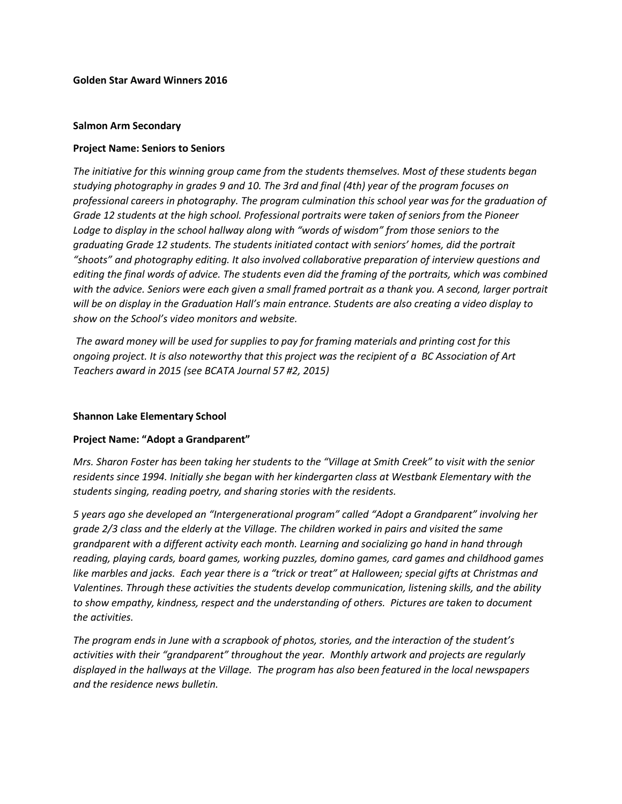#### **Salmon Arm Secondary**

### **Project Name: Seniors to Seniors**

*The initiative for this winning group came from the students themselves. Most of these students began studying photography in grades 9 and 10. The 3rd and final (4th) year of the program focuses on professional careers in photography. The program culmination this school year was for the graduation of Grade 12 students at the high school. Professional portraits were taken of seniors from the Pioneer Lodge to display in the school hallway along with "words of wisdom" from those seniors to the graduating Grade 12 students. The students initiated contact with seniors' homes, did the portrait "shoots" and photography editing. It also involved collaborative preparation of interview questions and editing the final words of advice. The students even did the framing of the portraits, which was combined*  with the advice. Seniors were each given a small framed portrait as a thank you. A second, larger portrait *will be on display in the Graduation Hall's main entrance. Students are also creating a video display to show on the School's video monitors and website.*

*The award money will be used for supplies to pay for framing materials and printing cost for this ongoing project. It is also noteworthy that this project was the recipient of a BC Association of Art Teachers award in 2015 (see BCATA Journal 57 #2, 2015)*

#### **Shannon Lake Elementary School**

#### **Project Name: "Adopt a Grandparent"**

*Mrs. Sharon Foster has been taking her students to the "Village at Smith Creek" to visit with the senior residents since 1994. Initially she began with her kindergarten class at Westbank Elementary with the students singing, reading poetry, and sharing stories with the residents.* 

*5 years ago she developed an "Intergenerational program" called "Adopt a Grandparent" involving her grade 2/3 class and the elderly at the Village. The children worked in pairs and visited the same grandparent with a different activity each month. Learning and socializing go hand in hand through reading, playing cards, board games, working puzzles, domino games, card games and childhood games like marbles and jacks. Each year there is a "trick or treat" at Halloween; special gifts at Christmas and Valentines. Through these activities the students develop communication, listening skills, and the ability to show empathy, kindness, respect and the understanding of others. Pictures are taken to document the activities.* 

*The program ends in June with a scrapbook of photos, stories, and the interaction of the student's activities with their "grandparent" throughout the year. Monthly artwork and projects are regularly displayed in the hallways at the Village. The program has also been featured in the local newspapers and the residence news bulletin.*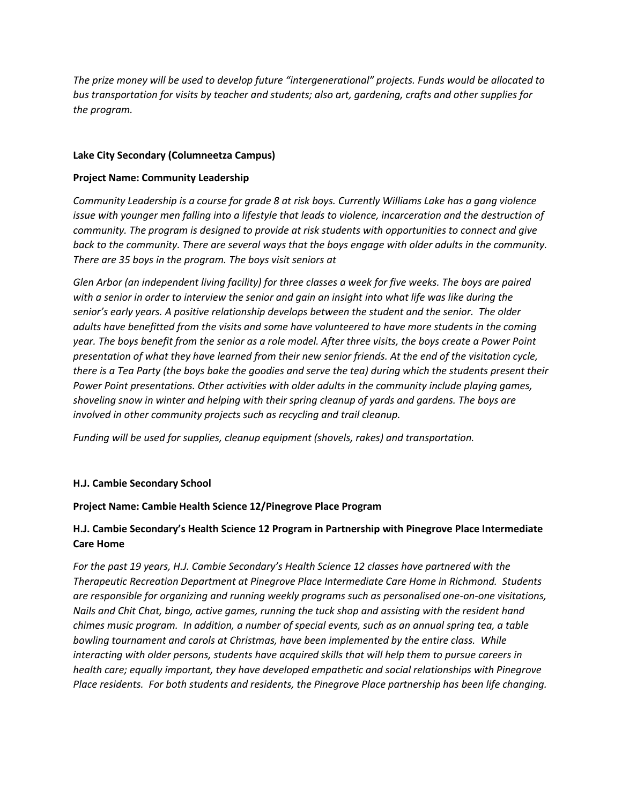*The prize money will be used to develop future "intergenerational" projects. Funds would be allocated to bus transportation for visits by teacher and students; also art, gardening, crafts and other supplies for the program.*

# **Lake City Secondary (Columneetza Campus)**

# **Project Name: Community Leadership**

*Community Leadership is a course for grade 8 at risk boys. Currently Williams Lake has a gang violence issue with younger men falling into a lifestyle that leads to violence, incarceration and the destruction of community. The program is designed to provide at risk students with opportunities to connect and give back to the community. There are several ways that the boys engage with older adults in the community. There are 35 boys in the program. The boys visit seniors at* 

*Glen Arbor (an independent living facility) for three classes a week for five weeks. The boys are paired with a senior in order to interview the senior and gain an insight into what life was like during the senior's early years. A positive relationship develops between the student and the senior. The older adults have benefitted from the visits and some have volunteered to have more students in the coming year. The boys benefit from the senior as a role model. After three visits, the boys create a Power Point presentation of what they have learned from their new senior friends. At the end of the visitation cycle, there is a Tea Party (the boys bake the goodies and serve the tea) during which the students present their Power Point presentations. Other activities with older adults in the community include playing games, shoveling snow in winter and helping with their spring cleanup of yards and gardens. The boys are involved in other community projects such as recycling and trail cleanup.*

*Funding will be used for supplies, cleanup equipment (shovels, rakes) and transportation.* 

### **H.J. Cambie Secondary School**

### **Project Name: Cambie Health Science 12/Pinegrove Place Program**

# **H.J. Cambie Secondary's Health Science 12 Program in Partnership with Pinegrove Place Intermediate Care Home**

*For the past 19 years, H.J. Cambie Secondary's Health Science 12 classes have partnered with the Therapeutic Recreation Department at Pinegrove Place Intermediate Care Home in Richmond. Students are responsible for organizing and running weekly programs such as personalised one-on-one visitations, Nails and Chit Chat, bingo, active games, running the tuck shop and assisting with the resident hand chimes music program. In addition, a number of special events, such as an annual spring tea, a table bowling tournament and carols at Christmas, have been implemented by the entire class. While interacting with older persons, students have acquired skills that will help them to pursue careers in health care; equally important, they have developed empathetic and social relationships with Pinegrove Place residents. For both students and residents, the Pinegrove Place partnership has been life changing.*